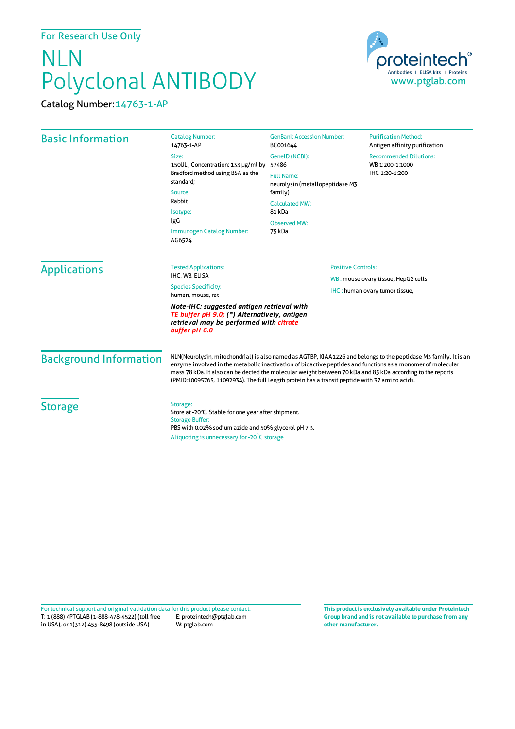## NLN Polyclonal ANTIBODY

Catalog Number:14763-1-AP



| <b>Basic Information</b>                                                                                                                               | <b>Catalog Number:</b><br>14763-1-AP                                                                                                                                                                                                                                                                                                                                                                                                           | <b>GenBank Accession Number:</b><br>BC001644                                    | <b>Purification Method:</b><br>Antigen affinity purification       |                                                                                                    |  |
|--------------------------------------------------------------------------------------------------------------------------------------------------------|------------------------------------------------------------------------------------------------------------------------------------------------------------------------------------------------------------------------------------------------------------------------------------------------------------------------------------------------------------------------------------------------------------------------------------------------|---------------------------------------------------------------------------------|--------------------------------------------------------------------|----------------------------------------------------------------------------------------------------|--|
|                                                                                                                                                        | Size:<br>150UL, Concentration: 133 µg/ml by<br>Bradford method using BSA as the<br>standard;<br>Source:<br>Rabbit<br>Isotype:<br>IgG<br>Immunogen Catalog Number:<br>AG6524                                                                                                                                                                                                                                                                    | GeneID (NCBI):<br>57486<br><b>Full Name:</b><br>neurolysin (metallopeptidase M3 | <b>Recommended Dilutions:</b><br>WB 1:200-1:1000<br>IHC 1:20-1:200 |                                                                                                    |  |
|                                                                                                                                                        |                                                                                                                                                                                                                                                                                                                                                                                                                                                |                                                                                 |                                                                    | family)<br><b>Calculated MW:</b><br>81 kDa                                                         |  |
|                                                                                                                                                        |                                                                                                                                                                                                                                                                                                                                                                                                                                                | <b>Observed MW:</b><br>75 kDa                                                   |                                                                    |                                                                                                    |  |
|                                                                                                                                                        |                                                                                                                                                                                                                                                                                                                                                                                                                                                | <b>Applications</b>                                                             | <b>Tested Applications:</b><br>IHC, WB, ELISA                      | <b>Positive Controls:</b><br>WB: mouse ovary tissue, HepG2 cells<br>IHC: human ovary tumor tissue, |  |
|                                                                                                                                                        |                                                                                                                                                                                                                                                                                                                                                                                                                                                |                                                                                 | <b>Species Specificity:</b><br>human, mouse, rat                   |                                                                                                    |  |
| Note-IHC: suggested antigen retrieval with<br>TE buffer pH 9.0; (*) Alternatively, antigen<br>retrieval may be performed with citrate<br>buffer pH 6.0 |                                                                                                                                                                                                                                                                                                                                                                                                                                                |                                                                                 |                                                                    |                                                                                                    |  |
| <b>Background Information</b>                                                                                                                          | NLN(Neurolysin, mitochondrial) is also named as AGTBP, KIAA1226 and belongs to the peptidase M3 family. It is an<br>enzyme involved in the metabolic inactivation of bioactive peptides and functions as a monomer of molecular<br>mass 78 kDa. It also can be dected the molecular weight between 70 kDa and 85 kDa according to the reports<br>(PMID:10095765, 11092934). The full length protein has a transit peptide with 37 amino acids. |                                                                                 |                                                                    |                                                                                                    |  |
| <b>Storage</b>                                                                                                                                         | Storage:<br>Store at -20°C. Stable for one year after shipment.<br><b>Storage Buffer:</b><br>PBS with 0.02% sodium azide and 50% glycerol pH 7.3.                                                                                                                                                                                                                                                                                              |                                                                                 |                                                                    |                                                                                                    |  |
|                                                                                                                                                        | Aliquoting is unnecessary for -20°C storage                                                                                                                                                                                                                                                                                                                                                                                                    |                                                                                 |                                                                    |                                                                                                    |  |

T: 1 (888) 4PTGLAB (1-888-478-4522) (toll free in USA), or 1(312) 455-8498 (outside USA) E: proteintech@ptglab.com W: ptglab.com Fortechnical support and original validation data forthis product please contact: **This productis exclusively available under Proteintech**

**Group brand and is not available to purchase from any other manufacturer.**